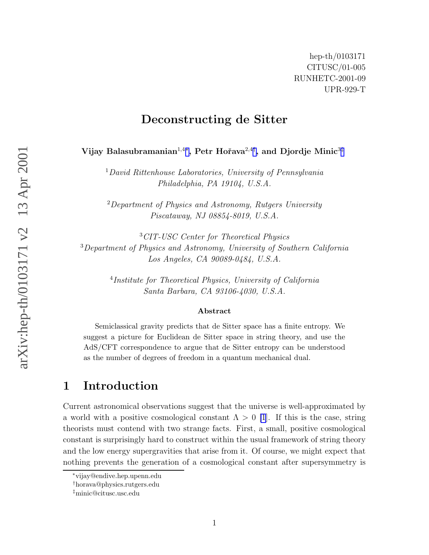## Deconstructing de Sitter

Vijay Balasubramanian $^{1,4*},$  Petr Hořava $^{2,4\dagger},$  and Djordje Minic $^{3\ddagger}$ 

<sup>1</sup>David Rittenhouse Laboratories, University of Pennsylvania Philadelphia, PA 19104, U.S.A.

<sup>2</sup>Department of Physics and Astronomy, Rutgers University Piscataway, NJ 08854-8019, U.S.A.

<sup>3</sup>CIT-USC Center for Theoretical Physics <sup>3</sup>Department of Physics and Astronomy, University of Southern California Los Angeles, CA 90089-0484, U.S.A.

> 4 Institute for Theoretical Physics, University of California Santa Barbara, CA 93106-4030, U.S.A.

#### Abstract

Semiclassical gravity predicts that de Sitter space has a finite entropy. We suggest a picture for Euclidean de Sitter space in string theory, and use the AdS/CFT correspondence to argue that de Sitter entropy can be understood as the number of degrees of freedom in a quantum mechanical dual.

## 1 Introduction

Current astronomical observations suggest that the universe is well-approximated by a world with a positive cosmological constant  $\Lambda > 0$  [\[1](#page-13-0)]. If this is the case, string theorists must contend with two strange facts. First, a small, positive cosmological constant is surprisingly hard to construct within the usual framework of string theory and the low energy supergravities that arise from it. Of course, we might expect that nothing prevents the generation of a cosmological constant after supersymmetry is

<sup>∗</sup>vijay@endive.hep.upenn.edu

<sup>†</sup>horava@physics.rutgers.edu

<sup>‡</sup>minic@citusc.usc.edu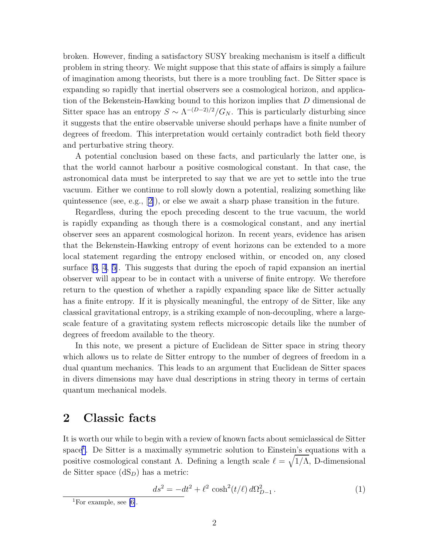<span id="page-1-0"></span>broken. However, finding a satisfactory SUSY breaking mechanism is itself a difficult problem in string theory. We might suppose that this state of affairs is simply a failure of imagination among theorists, but there is a more troubling fact. De Sitter space is expanding so rapidly that inertial observers see a cosmological horizon, and application of the Bekenstein-Hawking bound to this horizon implies that D dimensional de Sitter space has an entropy  $S \sim \Lambda^{-(D-2)/2}/G_N$ . This is particularly disturbing since it suggests that the entire observable universe should perhaps have a finite number of degrees of freedom. This interpretation would certainly contradict both field theory and perturbative string theory.

A potential conclusion based on these facts, and particularly the latter one, is that the world cannot harbour a positive cosmological constant. In that case, the astronomical data must be interpreted to say that we are yet to settle into the true vacuum. Either we continue to roll slowly down a potential, realizing something like quintessence(see, e.g., [[2\]](#page-13-0)), or else we await a sharp phase transition in the future.

Regardless, during the epoch preceding descent to the true vacuum, the world is rapidly expanding as though there is a cosmological constant, and any inertial observer sees an apparent cosmological horizon. In recent years, evidence has arisen that the Bekenstein-Hawking entropy of event horizons can be extended to a more local statement regarding the entropy enclosed within, or encoded on, any closed surface [\[3, 4](#page-13-0), [5\]](#page-13-0). This suggests that during the epoch of rapid expansion an inertial observer will appear to be in contact with a universe of finite entropy. We therefore return to the question of whether a rapidly expanding space like de Sitter actually has a finite entropy. If it is physically meaningful, the entropy of de Sitter, like any classical gravitational entropy, is a striking example of non-decoupling, where a largescale feature of a gravitating system reflects microscopic details like the number of degrees of freedom available to the theory.

In this note, we present a picture of Euclidean de Sitter space in string theory which allows us to relate de Sitter entropy to the number of degrees of freedom in a dual quantum mechanics. This leads to an argument that Euclidean de Sitter spaces in divers dimensions may have dual descriptions in string theory in terms of certain quantum mechanical models.

# 2 Classic facts

It is worth our while to begin with a review of known facts about semiclassical de Sitter space<sup>1</sup> . De Sitter is a maximally symmetric solution to Einstein's equations with a positive cosmological constant  $\Lambda$ . Defining a length scale  $\ell = \sqrt{1/\Lambda}$ , D-dimensional de Sitter space  $(dS_D)$  has a metric:

$$
ds^{2} = -dt^{2} + \ell^{2} \cosh^{2}(t/\ell) d\Omega_{D-1}^{2}.
$$
 (1)

<sup>&</sup>lt;sup>1</sup>For example, see [\[6\]](#page-13-0).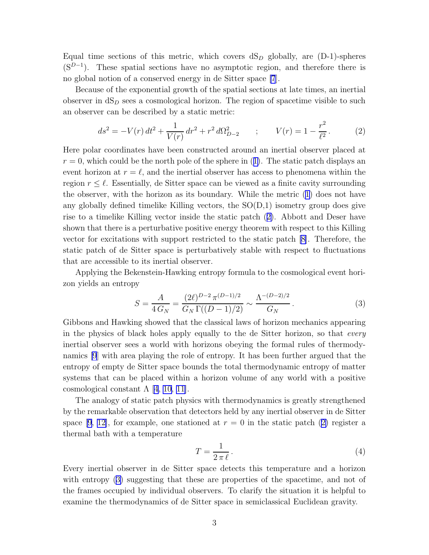<span id="page-2-0"></span>Equal time sections of this metric, which covers  $dS<sub>D</sub>$  globally, are (D-1)-spheres  $(S^{D-1})$ . These spatial sections have no asymptotic region, and therefore there is no global notion of a conserved energy in de Sitter space [\[7](#page-13-0)].

Because of the exponential growth of the spatial sections at late times, an inertial observer in  $dS<sub>D</sub>$  sees a cosmological horizon. The region of spacetime visible to such an observer can be described by a static metric:

$$
ds^{2} = -V(r) dt^{2} + \frac{1}{V(r)} dr^{2} + r^{2} d\Omega_{D-2}^{2} ; \qquad V(r) = 1 - \frac{r^{2}}{\ell^{2}}.
$$
 (2)

Here polar coordinates have been constructed around an inertial observer placed at  $r = 0$  $r = 0$  $r = 0$ , which could be the north pole of the sphere in ([1\)](#page-1-0). The static patch displays an event horizon at  $r = \ell$ , and the inertial observer has access to phenomena within the region  $r \leq \ell$ . Essentially, de Sitter space can be viewed as a finite cavity surrounding the observer, with the horizon as its boundary. While the metric [\(1\)](#page-1-0) does not have any globally defined timelike Killing vectors, the  $SO(D,1)$  isometry group does give rise to a timelike Killing vector inside the static patch (2). Abbott and Deser have shown that there is a perturbative positive energy theorem with respect to this Killing vector for excitations with support restricted to the static patch [\[8\]](#page-13-0). Therefore, the static patch of de Sitter space is perturbatively stable with respect to fluctuations that are accessible to its inertial observer.

Applying the Bekenstein-Hawking entropy formula to the cosmological event horizon yields an entropy

$$
S = \frac{A}{4\,G_N} = \frac{(2\ell)^{D-2}\,\pi^{(D-1)/2}}{G_N\,\Gamma((D-1)/2)} \sim \frac{\Lambda^{-(D-2)/2}}{G_N} \,. \tag{3}
$$

Gibbons and Hawking showed that the classical laws of horizon mechanics appearing in the physics of black holes apply equally to the de Sitter horizon, so that *every* inertial observer sees a world with horizons obeying the formal rules of thermodynamics [\[9](#page-13-0)] with area playing the role of entropy. It has been further argued that the entropy of empty de Sitter space bounds the total thermodynamic entropy of matter systems that can be placed within a horizon volume of any world with a positive cosmological constant  $\Lambda$  [\[4](#page-13-0), [10, 11\]](#page-13-0).

The analogy of static patch physics with thermodynamics is greatly strengthened by the remarkable observation that detectors held by any inertial observer in de Sitter space [\[9](#page-13-0), [12\]](#page-13-0), for example, one stationed at  $r = 0$  in the static patch (2) register a thermal bath with a temperature

$$
T = \frac{1}{2\pi\,\ell} \,. \tag{4}
$$

Every inertial observer in de Sitter space detects this temperature and a horizon with entropy (3) suggesting that these are properties of the spacetime, and not of the frames occupied by individual observers. To clarify the situation it is helpful to examine the thermodynamics of de Sitter space in semiclassical Euclidean gravity.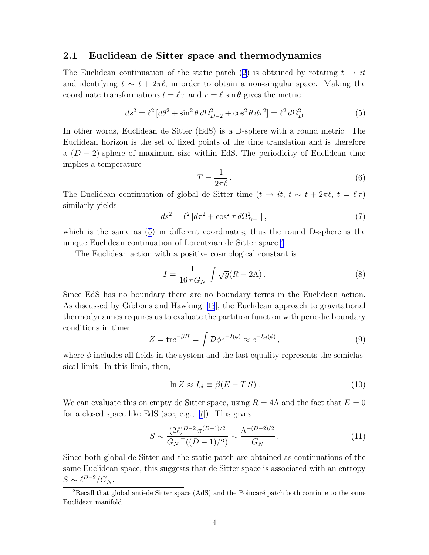### 2.1 Euclidean de Sitter space and thermodynamics

TheEuclidean continuation of the static patch ([2\)](#page-2-0) is obtained by rotating  $t \to it$ and identifying  $t \sim t + 2\pi l$ , in order to obtain a non-singular space. Making the coordinate transformations  $t = \ell \tau$  and  $r = \ell \sin \theta$  gives the metric

$$
ds^{2} = \ell^{2} \left[ d\theta^{2} + \sin^{2} \theta \, d\Omega_{D-2}^{2} + \cos^{2} \theta \, d\tau^{2} \right] = \ell^{2} \, d\Omega_{D}^{2} \tag{5}
$$

In other words, Euclidean de Sitter (EdS) is a D-sphere with a round metric. The Euclidean horizon is the set of fixed points of the time translation and is therefore a  $(D-2)$ -sphere of maximum size within EdS. The periodicity of Euclidean time implies a temperature

$$
T = \frac{1}{2\pi\ell} \,. \tag{6}
$$

The Euclidean continuation of global de Sitter time  $(t \to it, t \sim t + 2\pi\ell, t = \ell\tau)$ similarly yields

$$
ds^2 = \ell^2 \left[ d\tau^2 + \cos^2 \tau \, d\Omega_{D-1}^2 \right],\tag{7}
$$

which is the same as (5) in different coordinates; thus the round D-sphere is the unique Euclidean continuation of Lorentzian de Sitter space.<sup>2</sup>

The Euclidean action with a positive cosmological constant is

$$
I = \frac{1}{16 \pi G_N} \int \sqrt{g} (R - 2\Lambda). \tag{8}
$$

Since EdS has no boundary there are no boundary terms in the Euclidean action. As discussed by Gibbons and Hawking[[13](#page-14-0)], the Euclidean approach to gravitational thermodynamics requires us to evaluate the partition function with periodic boundary conditions in time:

$$
Z = \text{tr}e^{-\beta H} = \int \mathcal{D}\phi e^{-I(\phi)} \approx e^{-I_{cl}(\phi)},\tag{9}
$$

where  $\phi$  includes all fields in the system and the last equality represents the semiclassical limit. In this limit, then,

$$
\ln Z \approx I_{cl} \equiv \beta (E - TS). \tag{10}
$$

We can evaluate this on empty de Sitter space, using  $R = 4\Lambda$  and the fact that  $E = 0$ for a closed space like EdS (see, e.g.,[[7](#page-13-0)]). This gives

$$
S \sim \frac{(2\ell)^{D-2} \pi^{(D-1)/2}}{G_N \Gamma((D-1)/2)} \sim \frac{\Lambda^{-(D-2)/2}}{G_N} \,. \tag{11}
$$

Since both global de Sitter and the static patch are obtained as continuations of the same Euclidean space, this suggests that de Sitter space is associated with an entropy  $S \sim \ell^{D-2}/G_N$ .

 ${}^{2}$ Recall that global anti-de Sitter space (AdS) and the Poincaré patch both continue to the same Euclidean manifold.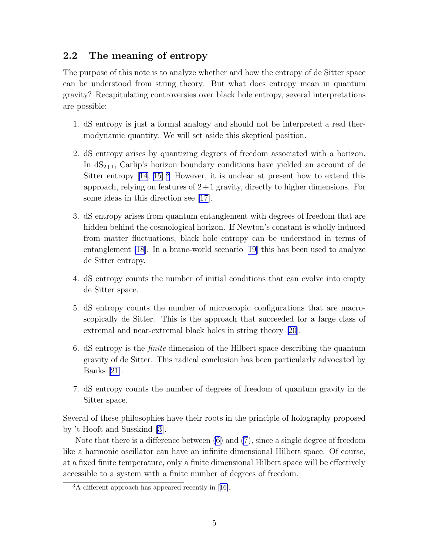### 2.2 The meaning of entropy

The purpose of this note is to analyze whether and how the entropy of de Sitter space can be understood from string theory. But what does entropy mean in quantum gravity? Recapitulating controversies over black hole entropy, several interpretations are possible:

- 1. dS entropy is just a formal analogy and should not be interpreted a real thermodynamic quantity. We will set aside this skeptical position.
- 2. dS entropy arises by quantizing degrees of freedom associated with a horizon. In  $dS_{2+1}$ , Carlip's horizon boundary conditions have yielded an account of de Sitter entropy  $[14, 15]$ <sup>3</sup> However, it is unclear at present how to extend this approach, relying on features of  $2+1$  gravity, directly to higher dimensions. For some ideas in this direction see [\[17](#page-14-0)].
- 3. dS entropy arises from quantum entanglement with degrees of freedom that are hidden behind the cosmological horizon. If Newton's constant is wholly induced from matter fluctuations, black hole entropy can be understood in terms of entanglement [\[18](#page-14-0)]. In a brane-world scenario [\[19\]](#page-14-0) this has been used to analyze de Sitter entropy.
- 4. dS entropy counts the number of initial conditions that can evolve into empty de Sitter space.
- 5. dS entropy counts the number of microscopic configurations that are macroscopically de Sitter. This is the approach that succeeded for a large class of extremal and near-extremal black holes in string theory[[20](#page-14-0)].
- 6. dS entropy is the finite dimension of the Hilbert space describing the quantum gravity of de Sitter. This radical conclusion has been particularly advocated by Banks[[21\]](#page-14-0).
- 7. dS entropy counts the number of degrees of freedom of quantum gravity in de Sitter space.

Several of these philosophies have their roots in the principle of holography proposed by 't Hooft and Susskind [\[3](#page-13-0)].

Note that there is a difference between (6) and (7), since a single degree of freedom like a harmonic oscillator can have an infinite dimensional Hilbert space. Of course, at a fixed finite temperature, only a finite dimensional Hilbert space will be effectively accessible to a system with a finite number of degrees of freedom.

<sup>3</sup>A different approach has appeared recently in[[16\]](#page-14-0).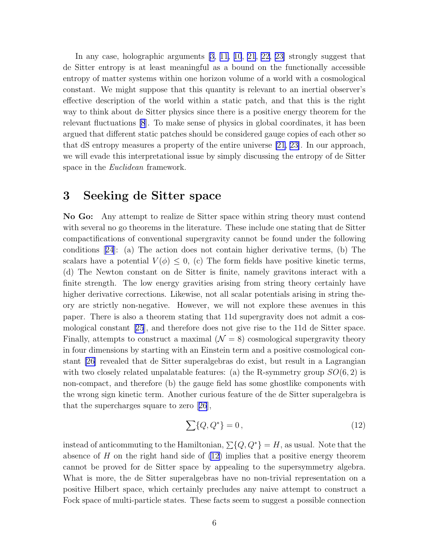In any case, holographic arguments [\[3, 11, 10](#page-13-0), [21](#page-14-0), [22, 23\]](#page-14-0) strongly suggest that de Sitter entropy is at least meaningful as a bound on the functionally accessible entropy of matter systems within one horizon volume of a world with a cosmological constant. We might suppose that this quantity is relevant to an inertial observer's effective description of the world within a static patch, and that this is the right way to think about de Sitter physics since there is a positive energy theorem for the relevant fluctuations [\[8](#page-13-0)]. To make sense of physics in global coordinates, it has been argued that different static patches should be considered gauge copies of each other so that dS entropy measures a property of the entire universe [\[21](#page-14-0), [23\]](#page-14-0). In our approach, we will evade this interpretational issue by simply discussing the entropy of de Sitter space in the *Euclidean* framework.

### 3 Seeking de Sitter space

No Go: Any attempt to realize de Sitter space within string theory must contend with several no go theorems in the literature. These include one stating that de Sitter compactifications of conventional supergravity cannot be found under the following conditions[[24](#page-14-0)]: (a) The action does not contain higher derivative terms, (b) The scalars have a potential  $V(\phi) \leq 0$ , (c) The form fields have positive kinetic terms, (d) The Newton constant on de Sitter is finite, namely gravitons interact with a finite strength. The low energy gravities arising from string theory certainly have higher derivative corrections. Likewise, not all scalar potentials arising in string theory are strictly non-negative. However, we will not explore these avenues in this paper. There is also a theorem stating that 11d supergravity does not admit a cosmological constant[[25](#page-14-0)], and therefore does not give rise to the 11d de Sitter space. Finally, attempts to construct a maximal  $(\mathcal{N} = 8)$  cosmological supergravity theory in four dimensions by starting with an Einstein term and a positive cosmological constant [\[26](#page-14-0)] revealed that de Sitter superalgebras do exist, but result in a Lagrangian with two closely related unpalatable features: (a) the R-symmetry group  $SO(6, 2)$  is non-compact, and therefore (b) the gauge field has some ghostlike components with the wrong sign kinetic term. Another curious feature of the de Sitter superalgebra is that the supercharges square to zero[[26](#page-14-0)],

$$
\sum \{Q, Q^*\} = 0\,,\tag{12}
$$

instead of anticommuting to the Hamiltonian,  $\sum \{Q, Q^*\} = H$ , as usual. Note that the absence of  $H$  on the right hand side of  $(12)$  implies that a positive energy theorem cannot be proved for de Sitter space by appealing to the supersymmetry algebra. What is more, the de Sitter superalgebras have no non-trivial representation on a positive Hilbert space, which certainly precludes any naive attempt to construct a Fock space of multi-particle states. These facts seem to suggest a possible connection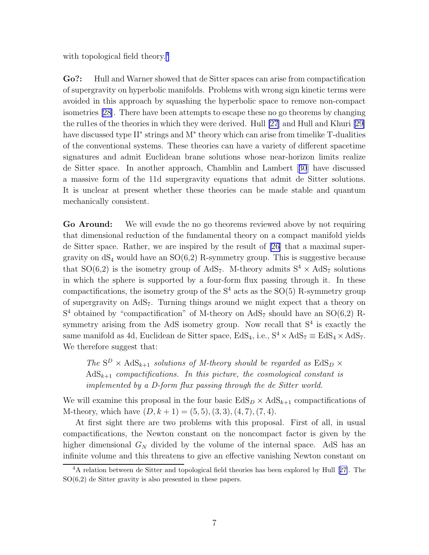with topological field theory.<sup>4</sup>

Go?: Hull and Warner showed that de Sitter spaces can arise from compactification of supergravity on hyperbolic manifolds. Problems with wrong sign kinetic terms were avoided in this approach by squashing the hyperbolic space to remove non-compact isometries [\[28\]](#page-15-0). There have been attempts to escape these no go theorems by changing the rul1es of the theories in which they were derived. Hull [\[27](#page-15-0)] and Hull and Khuri [\[29\]](#page-15-0) have discussed type II<sup>\*</sup> strings and M<sup>\*</sup> theory which can arise from timelike T-dualities of the conventional systems. These theories can have a variety of different spacetime signatures and admit Euclidean brane solutions whose near-horizon limits realize de Sitter space. In another approach, Chamblin and Lambert[[30](#page-15-0)] have discussed a massive form of the 11d supergravity equations that admit de Sitter solutions. It is unclear at present whether these theories can be made stable and quantum mechanically consistent.

Go Around: We will evade the no go theorems reviewed above by not requiring that dimensional reduction of the fundamental theory on a compact manifold yields de Sitter space. Rather, we are inspired by the result of [\[26](#page-14-0)] that a maximal supergravity on  $dS_4$  would have an  $SO(6,2)$  R-symmetry group. This is suggestive because that SO(6,2) is the isometry group of AdS<sub>7</sub>. M-theory admits  $S^4 \times AdS_7$  solutions in which the sphere is supported by a four-form flux passing through it. In these compactifications, the isometry group of the  $S<sup>4</sup>$  acts as the SO(5) R-symmetry group of supergravity on  $AdS_7$ . Turning things around we might expect that a theory on  $S<sup>4</sup>$  obtained by "compactification" of M-theory on AdS<sub>7</sub> should have an SO(6,2) Rsymmetry arising from the AdS isometry group. Now recall that  $S<sup>4</sup>$  is exactly the same manifold as 4d, Euclidean de Sitter space, EdS<sub>4</sub>, i.e.,  $S^4 \times AdS_7 \equiv EdS_4 \times AdS_7$ . We therefore suggest that:

The  $S^D$  × AdS<sub>k+1</sub> solutions of M-theory should be regarded as EdS<sub>D</sub> ×  $AdS_{k+1}$  compactifications. In this picture, the cosmological constant is implemented by a D-form flux passing through the de Sitter world.

We will examine this proposal in the four basic  $EdS<sub>D</sub> \times AdS<sub>k+1</sub>$  compactifications of M-theory, which have  $(D, k + 1) = (5, 5), (3, 3), (4, 7), (7, 4)$ .

At first sight there are two problems with this proposal. First of all, in usual compactifications, the Newton constant on the noncompact factor is given by the higher dimensional  $G_N$  divided by the volume of the internal space. AdS has an infinite volume and this threatens to give an effective vanishing Newton constant on

<sup>4</sup>A relation between de Sitter and topological field theories has been explored by Hull[[27\]](#page-15-0). The SO(6,2) de Sitter gravity is also presented in these papers.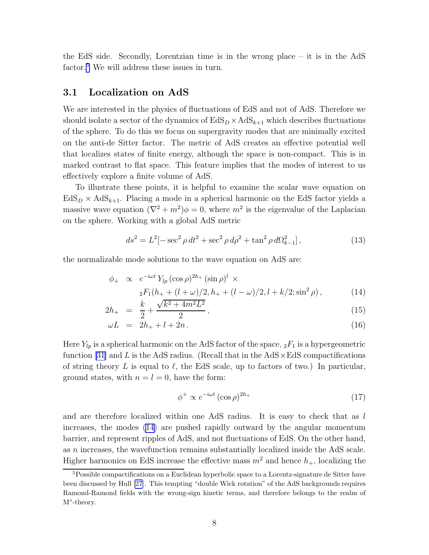<span id="page-7-0"></span>the EdS side. Secondly, Lorentzian time is in the wrong place – it is in the AdS factor.<sup>5</sup> We will address these issues in turn.

### 3.1 Localization on AdS

We are interested in the physics of fluctuations of EdS and not of AdS. Therefore we should isolate a sector of the dynamics of  $EdS<sub>D</sub> \times AdS<sub>k+1</sub>$  which describes fluctuations of the sphere. To do this we focus on supergravity modes that are minimally excited on the anti-de Sitter factor. The metric of AdS creates an effective potential well that localizes states of finite energy, although the space is non-compact. This is in marked contrast to flat space. This feature implies that the modes of interest to us effectively explore a finite volume of AdS.

To illustrate these points, it is helpful to examine the scalar wave equation on  $EdS<sub>D</sub> \times AdS<sub>k+1</sub>$ . Placing a mode in a spherical harmonic on the EdS factor yields a massive wave equation  $(\nabla^2 + m^2)\phi = 0$ , where  $m^2$  is the eigenvalue of the Laplacian on the sphere. Working with a global AdS metric

$$
ds^{2} = L^{2}[-\sec^{2}\rho dt^{2} + \sec^{2}\rho d\rho^{2} + \tan^{2}\rho d\Omega_{k-1}^{2}],
$$
\n(13)

the normalizable mode solutions to the wave equation on AdS are:

$$
\phi_{+} \propto e^{-i\omega t} Y_{lp} (\cos \rho)^{2h_{+}} (\sin \rho)^{l} \times
$$
  
 
$$
{}_{2}F_{1}(h_{+} + (l + \omega)/2, h_{+} + (l - \omega)/2, l + k/2; \sin^{2} \rho),
$$
 (14)

$$
2h_{+} = \frac{k}{2} + \frac{\sqrt{k^2 + 4m^2L^2}}{2}, \qquad (15)
$$

$$
\omega L = 2h_+ + l + 2n. \tag{16}
$$

Here  $Y_{lp}$  is a spherical harmonic on the AdS factor of the space,  ${}_2F_1$  is a hypergeometric function [\[31\]](#page-15-0) and L is the AdS radius. (Recall that in the AdS  $\times$  EdS compactifications of string theory L is equal to  $\ell$ , the EdS scale, up to factors of two.) In particular, ground states, with  $n = l = 0$ , have the form:

$$
\phi^+ \propto e^{-i\omega t} (\cos \rho)^{2h_+} \tag{17}
$$

and are therefore localized within one AdS radius. It is easy to check that as  $l$ increases, the modes (14) are pushed rapidly outward by the angular momentum barrier, and represent ripples of AdS, and not fluctuations of EdS. On the other hand, as n increases, the wavefunction remains substantially localized inside the AdS scale. Higher harmonics on EdS increase the effective mass  $m^2$  and hence  $h_{+}$ , localizing the

<sup>5</sup>Possible compactifications on a Euclidean hyperbolic space to a Lorentz-signature de Sitter have been discussed by Hull [\[27](#page-15-0)]. This tempting "double Wick rotation" of the AdS backgrounds requires Ramond-Ramond fields with the wrong-sign kinetic terms, and therefore belongs to the realm of M<sup>∗</sup> -theory.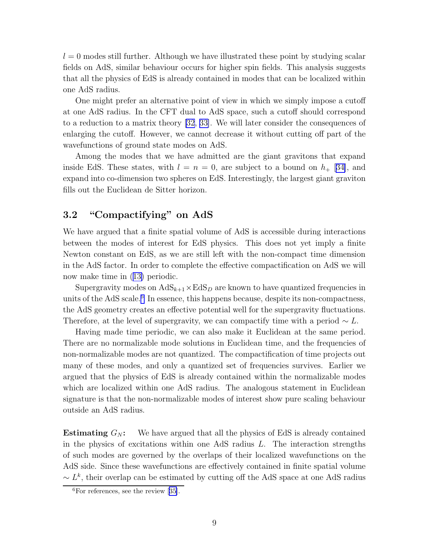$l = 0$  modes still further. Although we have illustrated these point by studying scalar fields on AdS, similar behaviour occurs for higher spin fields. This analysis suggests that all the physics of EdS is already contained in modes that can be localized within one AdS radius.

One might prefer an alternative point of view in which we simply impose a cutoff at one AdS radius. In the CFT dual to AdS space, such a cutoff should correspond to a reduction to a matrix theory [\[32](#page-15-0), [33\]](#page-15-0). We will later consider the consequences of enlarging the cutoff. However, we cannot decrease it without cutting off part of the wavefunctions of ground state modes on AdS.

Among the modes that we have admitted are the giant gravitons that expand inside EdS. These states, with  $l = n = 0$ , are subject to a bound on  $h_+$  [[34\]](#page-15-0), and expand into co-dimension two spheres on EdS. Interestingly, the largest giant graviton fills out the Euclidean de Sitter horizon.

## 3.2 "Compactifying" on AdS

We have argued that a finite spatial volume of AdS is accessible during interactions between the modes of interest for EdS physics. This does not yet imply a finite Newton constant on EdS, as we are still left with the non-compact time dimension in the AdS factor. In order to complete the effective compactification on AdS we will now make time in([13\)](#page-7-0) periodic.

Supergravity modes on  $AdS_{k+1} \times EdS_D$  are known to have quantized frequencies in units of the AdS scale.<sup>6</sup> In essence, this happens because, despite its non-compactness, the AdS geometry creates an effective potential well for the supergravity fluctuations. Therefore, at the level of supergravity, we can compactify time with a period  $\sim L$ .

Having made time periodic, we can also make it Euclidean at the same period. There are no normalizable mode solutions in Euclidean time, and the frequencies of non-normalizable modes are not quantized. The compactification of time projects out many of these modes, and only a quantized set of frequencies survives. Earlier we argued that the physics of EdS is already contained within the normalizable modes which are localized within one AdS radius. The analogous statement in Euclidean signature is that the non-normalizable modes of interest show pure scaling behaviour outside an AdS radius.

**Estimating**  $G_N$ : We have argued that all the physics of EdS is already contained in the physics of excitations within one AdS radius  $L$ . The interaction strengths of such modes are governed by the overlaps of their localized wavefunctions on the AdS side. Since these wavefunctions are effectively contained in finite spatial volume  $\sim L^k$ , their overlap can be estimated by cutting off the AdS space at one AdS radius

 ${}^{6}$ Forreferences, see the review [[35\]](#page-15-0).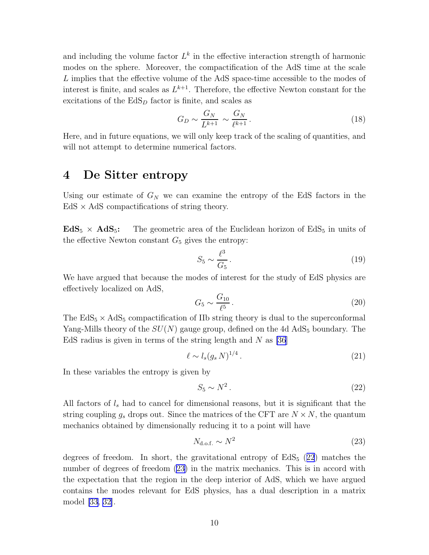and including the volume factor  $L^k$  in the effective interaction strength of harmonic modes on the sphere. Moreover, the compactification of the AdS time at the scale L implies that the effective volume of the AdS space-time accessible to the modes of interest is finite, and scales as  $L^{k+1}$ . Therefore, the effective Newton constant for the excitations of the  $EdS<sub>D</sub>$  factor is finite, and scales as

$$
G_D \sim \frac{G_N}{L^{k+1}} \sim \frac{G_N}{\ell^{k+1}}.\tag{18}
$$

Here, and in future equations, we will only keep track of the scaling of quantities, and will not attempt to determine numerical factors.

# 4 De Sitter entropy

Using our estimate of  $G_N$  we can examine the entropy of the EdS factors in the  $EdS \times AdS$  compactifications of string theory.

 $EdS_5 \times AdS_5$ : The geometric area of the Euclidean horizon of EdS<sub>5</sub> in units of the effective Newton constant  $G_5$  gives the entropy:

$$
S_5 \sim \frac{\ell^3}{G_5} \,. \tag{19}
$$

We have argued that because the modes of interest for the study of EdS physics are effectively localized on AdS,

$$
G_5 \sim \frac{G_{10}}{\ell^5} \,. \tag{20}
$$

The  $EdS_5 \times AdS_5$  compactification of IIb string theory is dual to the superconformal Yang-Mills theory of the  $SU(N)$  gauge group, defined on the 4d  $AdS_5$  boundary. The EdS radius is given in terms of the string length and  $N$  as [\[36](#page-15-0)]

$$
\ell \sim l_s (g_s N)^{1/4} \,. \tag{21}
$$

In these variables the entropy is given by

$$
S_5 \sim N^2. \tag{22}
$$

All factors of  $l_s$  had to cancel for dimensional reasons, but it is significant that the string coupling  $g_s$  drops out. Since the matrices of the CFT are  $N \times N$ , the quantum mechanics obtained by dimensionally reducing it to a point will have

$$
N_{\text{d.o.f.}} \sim N^2 \tag{23}
$$

degrees of freedom. In short, the gravitational entropy of  $EdS<sub>5</sub>$  (22) matches the number of degrees of freedom (23) in the matrix mechanics. This is in accord with the expectation that the region in the deep interior of AdS, which we have argued contains the modes relevant for EdS physics, has a dual description in a matrix model [\[33, 32\]](#page-15-0).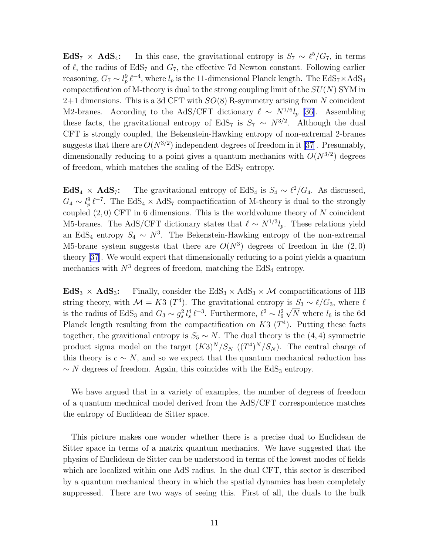EdS<sub>7</sub> × AdS<sub>4</sub>: In this case, the gravitational entropy is  $S_7 \sim \ell^5/G_7$ , in terms of  $\ell$ , the radius of EdS<sub>7</sub> and  $G_7$ , the effective 7d Newton constant. Following earlier reasoning,  $G_7 \sim l_p^9 \ell^{-4}$ , where  $l_p$  is the 11-dimensional Planck length. The  $\mathrm{EdS}_7 \times \mathrm{AdS}_4$ compactification of M-theory is dual to the strong coupling limit of the  $SU(N)$  SYM in  $2+1$  dimensions. This is a 3d CFT with  $SO(8)$  R-symmetry arising from N coincident M2-branes. According to the AdS/CFT dictionary  $\ell \sim N^{1/6} l_p$  [\[36](#page-15-0)]. Assembling these facts, the gravitational entropy of EdS<sub>7</sub> is  $S_7 \sim N^{3/2}$ . Although the dual CFT is strongly coupled, the Bekenstein-Hawking entropy of non-extremal 2-branes suggests that there are  $O(N^{3/2})$  independent degrees of freedom in it [\[37](#page-15-0)]. Presumably, dimensionally reducing to a point gives a quantum mechanics with  $O(N^{3/2})$  degrees of freedom, which matches the scaling of the  $EdS<sub>7</sub>$  entropy.

EdS<sub>4</sub> × AdS<sub>7</sub>: The gravitational entropy of EdS<sub>4</sub> is  $S_4 \sim \ell^2/G_4$ . As discussed,  $G_4 \sim l_p^9 \ell^{-7}$ . The EdS<sub>4</sub> × AdS<sub>7</sub> compactification of M-theory is dual to the strongly coupled  $(2,0)$  CFT in 6 dimensions. This is the worldvolume theory of N coincident M5-branes. The AdS/CFT dictionary states that  $\ell \sim N^{1/3}l_p$ . These relations yield an EdS<sub>4</sub> entropy  $S_4 \sim N^3$ . The Bekenstein-Hawking entropy of the non-extremal M5-brane system suggests that there are  $O(N^3)$  degrees of freedom in the  $(2,0)$ theory [\[37\]](#page-15-0). We would expect that dimensionally reducing to a point yields a quantum mechanics with  $N^3$  degrees of freedom, matching the EdS<sub>4</sub> entropy.

 $EdS_3 \times AdS_3$ : Finally, consider the  $EdS_3 \times AdS_3 \times M$  compactifications of IIB string theory, with  $\mathcal{M} = K3$  ( $T^4$ ). The gravitational entropy is  $S_3 \sim \ell/G_3$ , where  $\ell$ is the radius of EdS<sub>3</sub> and  $G_3 \sim g_s^2 l_s^4 \ell^{-3}$ . Furthermore,  $\ell^2 \sim l_6^2$  $\sqrt{N}$  where  $l_6$  is the 6d Planck length resulting from the compactification on  $K3$   $(T<sup>4</sup>)$ . Putting these facts together, the gravitional entropy is  $S_5 \sim N$ . The dual theory is the (4,4) symmetric product sigma model on the target  $(K3)^N/S_N$   $((T^4)^N/S_N)$ . The central charge of this theory is  $c \sim N$ , and so we expect that the quantum mechanical reduction has  $\sim N$  degrees of freedom. Again, this coincides with the EdS<sub>3</sub> entropy.

We have argued that in a variety of examples, the number of degrees of freedom of a quantum mechnical model derived from the AdS/CFT correspondence matches the entropy of Euclidean de Sitter space.

This picture makes one wonder whether there is a precise dual to Euclidean de Sitter space in terms of a matrix quantum mechanics. We have suggested that the physics of Euclidean de Sitter can be understood in terms of the lowest modes of fields which are localized within one AdS radius. In the dual CFT, this sector is described by a quantum mechanical theory in which the spatial dynamics has been completely suppressed. There are two ways of seeing this. First of all, the duals to the bulk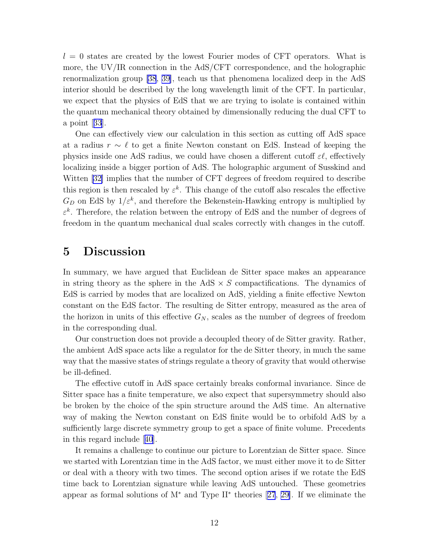$l = 0$  states are created by the lowest Fourier modes of CFT operators. What is more, the UV/IR connection in the AdS/CFT correspondence, and the holographic renormalization group [\[38](#page-15-0), [39\]](#page-16-0), teach us that phenomena localized deep in the AdS interior should be described by the long wavelength limit of the CFT. In particular, we expect that the physics of EdS that we are trying to isolate is contained within the quantum mechanical theory obtained by dimensionally reducing the dual CFT to a point[[33](#page-15-0)].

One can effectively view our calculation in this section as cutting off AdS space at a radius  $r \sim \ell$  to get a finite Newton constant on EdS. Instead of keeping the physics inside one AdS radius, we could have chosen a different cutoff  $\varepsilon\ell$ , effectively localizing inside a bigger portion of AdS. The holographic argument of Susskind and Witten [\[32\]](#page-15-0) implies that the number of CFT degrees of freedom required to describe this region is then rescaled by  $\varepsilon^k$ . This change of the cutoff also rescales the effective  $G_D$  on EdS by  $1/\varepsilon^k$ , and therefore the Bekenstein-Hawking entropy is multiplied by  $\varepsilon^k$ . Therefore, the relation between the entropy of EdS and the number of degrees of freedom in the quantum mechanical dual scales correctly with changes in the cutoff.

## 5 Discussion

In summary, we have argued that Euclidean de Sitter space makes an appearance in string theory as the sphere in the AdS  $\times$  S compactifications. The dynamics of EdS is carried by modes that are localized on AdS, yielding a finite effective Newton constant on the EdS factor. The resulting de Sitter entropy, measured as the area of the horizon in units of this effective  $G_N$ , scales as the number of degrees of freedom in the corresponding dual.

Our construction does not provide a decoupled theory of de Sitter gravity. Rather, the ambient AdS space acts like a regulator for the de Sitter theory, in much the same way that the massive states of strings regulate a theory of gravity that would otherwise be ill-defined.

The effective cutoff in AdS space certainly breaks conformal invariance. Since de Sitter space has a finite temperature, we also expect that supersymmetry should also be broken by the choice of the spin structure around the AdS time. An alternative way of making the Newton constant on EdS finite would be to orbifold AdS by a sufficiently large discrete symmetry group to get a space of finite volume. Precedents in this regard include[[40](#page-16-0)].

It remains a challenge to continue our picture to Lorentzian de Sitter space. Since we started with Lorentzian time in the AdS factor, we must either move it to de Sitter or deal with a theory with two times. The second option arises if we rotate the EdS time back to Lorentzian signature while leaving AdS untouched. These geometries appear as formal solutions of M<sup>∗</sup> and Type II<sup>∗</sup> theories[[27](#page-15-0), [29\]](#page-15-0). If we eliminate the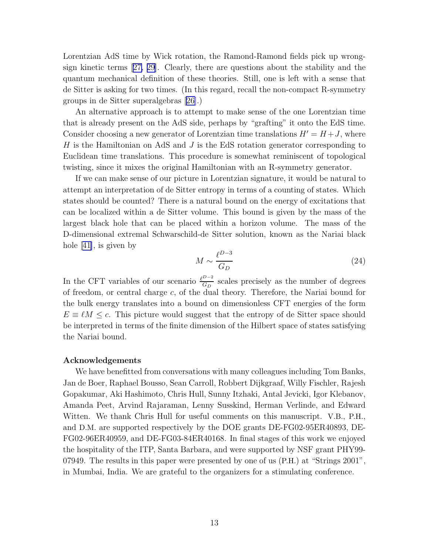Lorentzian AdS time by Wick rotation, the Ramond-Ramond fields pick up wrongsign kinetic terms[[27, 29](#page-15-0)]. Clearly, there are questions about the stability and the quantum mechanical definition of these theories. Still, one is left with a sense that de Sitter is asking for two times. (In this regard, recall the non-compact R-symmetry groups in de Sitter superalgebras [\[26\]](#page-14-0).)

An alternative approach is to attempt to make sense of the one Lorentzian time that is already present on the AdS side, perhaps by "grafting" it onto the EdS time. Consider choosing a new generator of Lorentzian time translations  $H' = H + J$ , where H is the Hamiltonian on AdS and  $J$  is the EdS rotation generator corresponding to Euclidean time translations. This procedure is somewhat reminiscent of topological twisting, since it mixes the original Hamiltonian with an R-symmetry generator.

If we can make sense of our picture in Lorentzian signature, it would be natural to attempt an interpretation of de Sitter entropy in terms of a counting of states. Which states should be counted? There is a natural bound on the energy of excitations that can be localized within a de Sitter volume. This bound is given by the mass of the largest black hole that can be placed within a horizon volume. The mass of the D-dimensional extremal Schwarschild-de Sitter solution, known as the Nariai black hole $|41|$ , is given by

$$
M \sim \frac{\ell^{D-3}}{G_D} \tag{24}
$$

In the CFT variables of our scenario  $\frac{\ell^{D-2}}{G_D}$  scales precisely as the number of degrees of freedom, or central charge  $c$ , of the dual theory. Therefore, the Nariai bound for the bulk energy translates into a bound on dimensionless CFT energies of the form  $E \equiv \ell M \leq c$ . This picture would suggest that the entropy of de Sitter space should be interpreted in terms of the finite dimension of the Hilbert space of states satisfying the Nariai bound.

#### Acknowledgements

We have benefitted from conversations with many colleagues including Tom Banks, Jan de Boer, Raphael Bousso, Sean Carroll, Robbert Dijkgraaf, Willy Fischler, Rajesh Gopakumar, Aki Hashimoto, Chris Hull, Sunny Itzhaki, Antal Jevicki, Igor Klebanov, Amanda Peet, Arvind Rajaraman, Lenny Susskind, Herman Verlinde, and Edward Witten. We thank Chris Hull for useful comments on this manuscript. V.B., P.H., and D.M. are supported respectively by the DOE grants DE-FG02-95ER40893, DE-FG02-96ER40959, and DE-FG03-84ER40168. In final stages of this work we enjoyed the hospitality of the ITP, Santa Barbara, and were supported by NSF grant PHY99- 07949. The results in this paper were presented by one of us (P.H.) at "Strings 2001", in Mumbai, India. We are grateful to the organizers for a stimulating conference.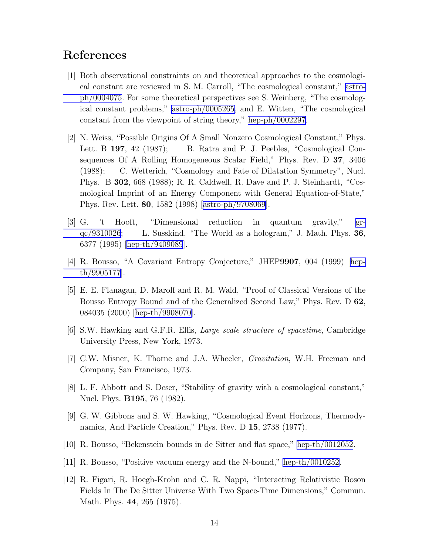## <span id="page-13-0"></span>References

- [1] Both observational constraints on and theoretical approaches to the cosmological constant are reviewed in S. M. Carroll, "The cosmological constant," [astro](http://arxiv.org/abs/astro-ph/0004075)[ph/0004075](http://arxiv.org/abs/astro-ph/0004075). For some theoretical perspectives see S. Weinberg, "The cosmological constant problems," [astro-ph/0005265,](http://arxiv.org/abs/astro-ph/0005265) and E. Witten, "The cosmological constant from the viewpoint of string theory," [hep-ph/0002297](http://arxiv.org/abs/hep-ph/0002297).
- [2] N. Weiss, "Possible Origins Of A Small Nonzero Cosmological Constant," Phys. Lett. B 197, 42 (1987); B. Ratra and P. J. Peebles, "Cosmological Consequences Of A Rolling Homogeneous Scalar Field," Phys. Rev. D 37, 3406 (1988); C. Wetterich, "Cosmology and Fate of Dilatation Symmetry", Nucl. Phys. B 302, 668 (1988); R. R. Caldwell, R. Dave and P. J. Steinhardt, "Cosmological Imprint of an Energy Component with General Equation-of-State," Phys. Rev. Lett. 80, 1582 (1998)[[astro-ph/9708069](http://arxiv.org/abs/astro-ph/9708069)].
- [3] G. 't Hooft, "Dimensional reduction in quantum gravity," [gr](http://arxiv.org/abs/gr-qc/9310026)[qc/9310026](http://arxiv.org/abs/gr-qc/9310026); L. Susskind, "The World as a hologram," J. Math. Phys. 36, 6377 (1995) [\[hep-th/9409089](http://arxiv.org/abs/hep-th/9409089)].
- [4]R. Bousso, "A Covariant Entropy Conjecture," JHEP9907, 004 (1999) [[hep](http://arxiv.org/abs/hep-th/9905177)[th/9905177](http://arxiv.org/abs/hep-th/9905177)].
- [5] E. E. Flanagan, D. Marolf and R. M. Wald, "Proof of Classical Versions of the Bousso Entropy Bound and of the Generalized Second Law," Phys. Rev. D 62, 084035 (2000)[[hep-th/9908070\]](http://arxiv.org/abs/hep-th/9908070).
- [6] S.W. Hawking and G.F.R. Ellis, Large scale structure of spacetime, Cambridge University Press, New York, 1973.
- [7] C.W. Misner, K. Thorne and J.A. Wheeler, Gravitation, W.H. Freeman and Company, San Francisco, 1973.
- [8] L. F. Abbott and S. Deser, "Stability of gravity with a cosmological constant," Nucl. Phys. B195, 76 (1982).
- [9] G. W. Gibbons and S. W. Hawking, "Cosmological Event Horizons, Thermodynamics, And Particle Creation," Phys. Rev. D 15, 2738 (1977).
- [10] R. Bousso, "Bekenstein bounds in de Sitter and flat space," [hep-th/0012052](http://arxiv.org/abs/hep-th/0012052).
- [11] R. Bousso, "Positive vacuum energy and the N-bound," [hep-th/0010252](http://arxiv.org/abs/hep-th/0010252).
- [12] R. Figari, R. Hoegh-Krohn and C. R. Nappi, "Interacting Relativistic Boson Fields In The De Sitter Universe With Two Space-Time Dimensions," Commun. Math. Phys. 44, 265 (1975).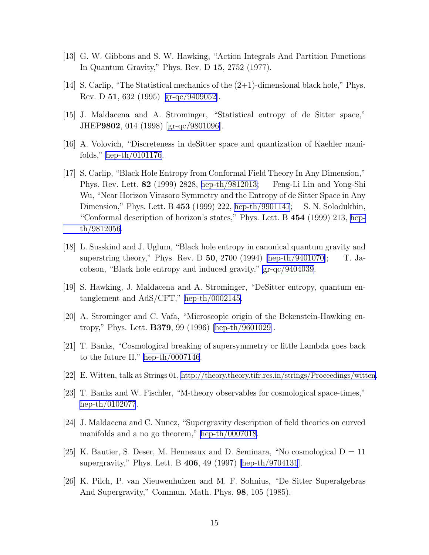- <span id="page-14-0"></span>[13] G. W. Gibbons and S. W. Hawking, "Action Integrals And Partition Functions In Quantum Gravity," Phys. Rev. D 15, 2752 (1977).
- [14] S. Carlip, "The Statistical mechanics of the  $(2+1)$ -dimensional black hole," Phys. Rev. D 51, 632 (1995)[[gr-qc/9409052\]](http://arxiv.org/abs/gr-qc/9409052).
- [15] J. Maldacena and A. Strominger, "Statistical entropy of de Sitter space," JHEP9802, 014 (1998) [\[gr-qc/9801096\]](http://arxiv.org/abs/gr-qc/9801096).
- [16] A. Volovich, "Discreteness in deSitter space and quantization of Kaehler manifolds," [hep-th/0101176](http://arxiv.org/abs/hep-th/0101176).
- [17] S. Carlip, "Black Hole Entropy from Conformal Field Theory In Any Dimension," Phys. Rev. Lett. 82 (1999) 2828, [hep-th/9812013;](http://arxiv.org/abs/hep-th/9812013) Feng-Li Lin and Yong-Shi Wu, "Near Horizon Virasoro Symmetry and the Entropy of de Sitter Space in Any Dimension," Phys. Lett. B 453 (1999) 222, [hep-th/9901147](http://arxiv.org/abs/hep-th/9901147); S. N. Solodukhin, "Conformal description of horizon's states," Phys. Lett. B 454 (1999) 213, [hep](http://arxiv.org/abs/hep-th/9812056)[th/9812056](http://arxiv.org/abs/hep-th/9812056).
- [18] L. Susskind and J. Uglum, "Black hole entropy in canonical quantum gravity and superstring theory," Phys. Rev. D  $50$ ,  $2700$  (1994) [\[hep-th/9401070\]](http://arxiv.org/abs/hep-th/9401070); T. Jacobson, "Black hole entropy and induced gravity," [gr-qc/9404039](http://arxiv.org/abs/gr-qc/9404039).
- [19] S. Hawking, J. Maldacena and A. Strominger, "DeSitter entropy, quantum entanglement and AdS/CFT," [hep-th/0002145](http://arxiv.org/abs/hep-th/0002145).
- [20] A. Strominger and C. Vafa, "Microscopic origin of the Bekenstein-Hawking entropy," Phys. Lett. B379, 99 (1996) [\[hep-th/9601029\]](http://arxiv.org/abs/hep-th/9601029).
- [21] T. Banks, "Cosmological breaking of supersymmetry or little Lambda goes back to the future II," [hep-th/0007146](http://arxiv.org/abs/hep-th/0007146).
- [22] E. Witten, talk at Strings 01, <http://theory.theory.tifr.res.in/strings/Proceedings/witten>.
- [23] T. Banks and W. Fischler, "M-theory observables for cosmological space-times," [hep-th/0102077](http://arxiv.org/abs/hep-th/0102077).
- [24] J. Maldacena and C. Nunez, "Supergravity description of field theories on curved manifolds and a no go theorem," [hep-th/0007018](http://arxiv.org/abs/hep-th/0007018).
- [25] K. Bautier, S. Deser, M. Henneaux and D. Seminara, "No cosmological  $D = 11$ supergravity," Phys. Lett. B 406, 49 (1997) [\[hep-th/9704131](http://arxiv.org/abs/hep-th/9704131)].
- [26] K. Pilch, P. van Nieuwenhuizen and M. F. Sohnius, "De Sitter Superalgebras And Supergravity," Commun. Math. Phys. 98, 105 (1985).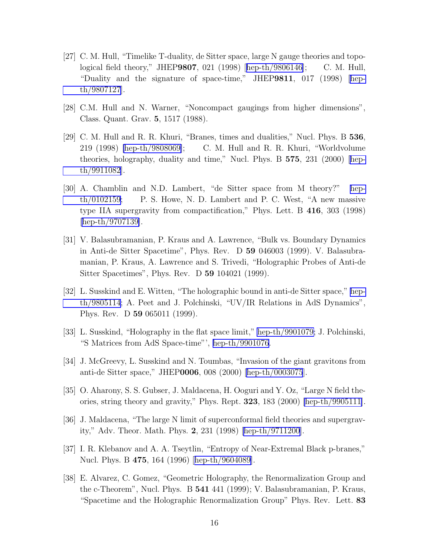- <span id="page-15-0"></span>[27] C. M. Hull, "Timelike T-duality, de Sitter space, large N gauge theories and topological field theory," JHEP9807, 021 (1998)[[hep-th/9806146\]](http://arxiv.org/abs/hep-th/9806146); C. M. Hull, "Duality and the signature of space-time," JHEP9811, 017 (1998)[[hep](http://arxiv.org/abs/hep-th/9807127)[th/9807127](http://arxiv.org/abs/hep-th/9807127)].
- [28] C.M. Hull and N. Warner, "Noncompact gaugings from higher dimensions", Class. Quant. Grav. 5, 1517 (1988).
- [29] C. M. Hull and R. R. Khuri, "Branes, times and dualities," Nucl. Phys. B 536, 219 (1998) [\[hep-th/9808069\]](http://arxiv.org/abs/hep-th/9808069); C. M. Hull and R. R. Khuri, "Worldvolume theories, holography, duality and time," Nucl. Phys. B 575, 231 (2000)[[hep](http://arxiv.org/abs/hep-th/9911082)[th/9911082](http://arxiv.org/abs/hep-th/9911082)].
- [30] A. Chamblin and N.D. Lambert, "de Sitter space from M theory?" [hep](http://arxiv.org/abs/hep-th/0102159)[th/0102159](http://arxiv.org/abs/hep-th/0102159); P. S. Howe, N. D. Lambert and P. C. West, "A new massive type IIA supergravity from compactification," Phys. Lett. B 416, 303 (1998)  $[hep-th/9707139]$ .
- [31] V. Balasubramanian, P. Kraus and A. Lawrence, "Bulk vs. Boundary Dynamics in Anti-de Sitter Spacetime", Phys. Rev. D 59 046003 (1999). V. Balasubramanian, P. Kraus, A. Lawrence and S. Trivedi, "Holographic Probes of Anti-de Sitter Spacetimes", Phys. Rev. D 59 104021 (1999).
- [32] L. Susskind and E. Witten, "The holographic bound in anti-de Sitter space," [hep](http://arxiv.org/abs/hep-th/9805114)[th/9805114](http://arxiv.org/abs/hep-th/9805114); A. Peet and J. Polchinski, "UV/IR Relations in AdS Dynamics", Phys. Rev. D 59 065011 (1999).
- [33] L. Susskind, "Holography in the flat space limit," [hep-th/9901079;](http://arxiv.org/abs/hep-th/9901079) J. Polchinski, "S Matrices from AdS Space-time"', [hep-th/9901076.](http://arxiv.org/abs/hep-th/9901076)
- [34] J. McGreevy, L. Susskind and N. Toumbas, "Invasion of the giant gravitons from anti-de Sitter space," JHEP0006, 008 (2000) [\[hep-th/0003075](http://arxiv.org/abs/hep-th/0003075)].
- [35] O. Aharony, S. S. Gubser, J. Maldacena, H. Ooguri and Y. Oz, "Large N field theories, string theory and gravity," Phys. Rept. 323, 183 (2000) [\[hep-th/9905111\]](http://arxiv.org/abs/hep-th/9905111).
- [36] J. Maldacena, "The large N limit of superconformal field theories and supergravity," Adv. Theor. Math. Phys. 2, 231 (1998) [\[hep-th/9711200](http://arxiv.org/abs/hep-th/9711200)].
- [37] I. R. Klebanov and A. A. Tseytlin, "Entropy of Near-Extremal Black p-branes," Nucl. Phys. B 475, 164 (1996)[[hep-th/9604089\]](http://arxiv.org/abs/hep-th/9604089).
- [38] E. Alvarez, C. Gomez, "Geometric Holography, the Renormalization Group and the c-Theorem", Nucl. Phys. B 541 441 (1999); V. Balasubramanian, P. Kraus, "Spacetime and the Holographic Renormalization Group" Phys. Rev. Lett. 83